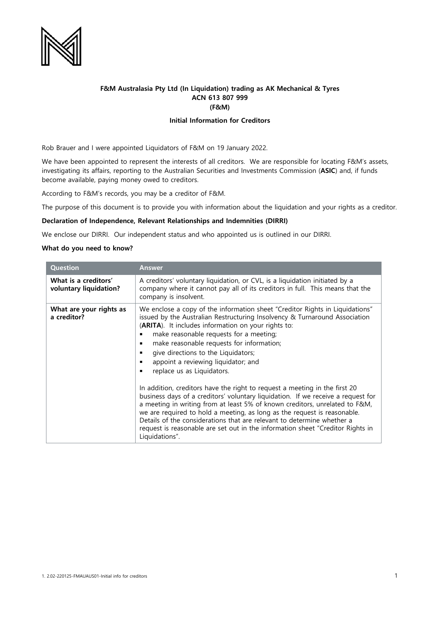

## **F&M Australasia Pty Ltd (In Liquidation) trading as AK Mechanical & Tyres ACN 613 807 999 (F&M)**

### **Initial Information for Creditors**

Rob Brauer and I were appointed Liquidators of F&M on 19 January 2022.

We have been appointed to represent the interests of all creditors. We are responsible for locating F&M's assets, investigating its affairs, reporting to the Australian Securities and Investments Commission (**ASIC**) and, if funds become available, paying money owed to creditors.

According to F&M's records, you may be a creditor of F&M.

The purpose of this document is to provide you with information about the liquidation and your rights as a creditor.

### **Declaration of Independence, Relevant Relationships and Indemnities (DIRRI)**

We enclose our DIRRI. Our independent status and who appointed us is outlined in our DIRRI.

#### **What do you need to know?**

| <b>Question</b>                                | Answer                                                                                                                                                                                                                                                                                                                                                                                                                                                                                                                                                                                                                                                                                                                                                                                                                                                                                                                                |
|------------------------------------------------|---------------------------------------------------------------------------------------------------------------------------------------------------------------------------------------------------------------------------------------------------------------------------------------------------------------------------------------------------------------------------------------------------------------------------------------------------------------------------------------------------------------------------------------------------------------------------------------------------------------------------------------------------------------------------------------------------------------------------------------------------------------------------------------------------------------------------------------------------------------------------------------------------------------------------------------|
| What is a creditors'<br>voluntary liquidation? | A creditors' voluntary liquidation, or CVL, is a liquidation initiated by a<br>company where it cannot pay all of its creditors in full. This means that the<br>company is insolvent.                                                                                                                                                                                                                                                                                                                                                                                                                                                                                                                                                                                                                                                                                                                                                 |
| What are your rights as<br>a creditor?         | We enclose a copy of the information sheet "Creditor Rights in Liquidations"<br>issued by the Australian Restructuring Insolvency & Turnaround Association<br>(ARITA). It includes information on your rights to:<br>make reasonable requests for a meeting;<br>make reasonable requests for information;<br>п<br>give directions to the Liquidators;<br>appoint a reviewing liquidator; and<br>replace us as Liquidators.<br>In addition, creditors have the right to request a meeting in the first 20<br>business days of a creditors' voluntary liquidation. If we receive a request for<br>a meeting in writing from at least 5% of known creditors, unrelated to F&M,<br>we are required to hold a meeting, as long as the request is reasonable.<br>Details of the considerations that are relevant to determine whether a<br>request is reasonable are set out in the information sheet "Creditor Rights in<br>Liquidations". |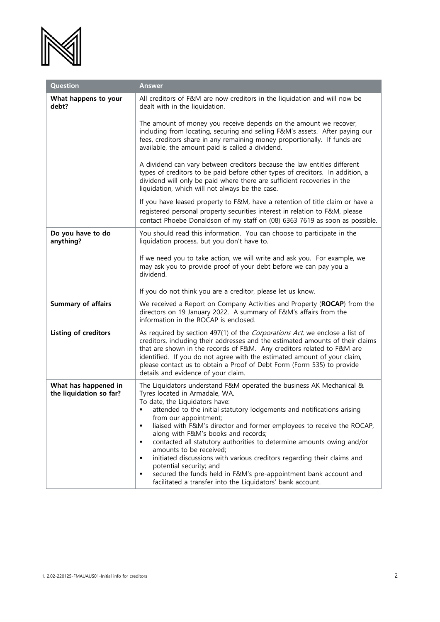

| <b>Question</b>                                 | <b>Answer</b>                                                                                                                                                                                                                                                                                                                                                                                                                                                                                                                                                                                                                                                                                                                     |
|-------------------------------------------------|-----------------------------------------------------------------------------------------------------------------------------------------------------------------------------------------------------------------------------------------------------------------------------------------------------------------------------------------------------------------------------------------------------------------------------------------------------------------------------------------------------------------------------------------------------------------------------------------------------------------------------------------------------------------------------------------------------------------------------------|
| What happens to your<br>debt?                   | All creditors of F&M are now creditors in the liquidation and will now be<br>dealt with in the liquidation.                                                                                                                                                                                                                                                                                                                                                                                                                                                                                                                                                                                                                       |
|                                                 | The amount of money you receive depends on the amount we recover,<br>including from locating, securing and selling F&M's assets. After paying our<br>fees, creditors share in any remaining money proportionally. If funds are<br>available, the amount paid is called a dividend.                                                                                                                                                                                                                                                                                                                                                                                                                                                |
|                                                 | A dividend can vary between creditors because the law entitles different<br>types of creditors to be paid before other types of creditors. In addition, a<br>dividend will only be paid where there are sufficient recoveries in the<br>liquidation, which will not always be the case.                                                                                                                                                                                                                                                                                                                                                                                                                                           |
|                                                 | If you have leased property to F&M, have a retention of title claim or have a<br>registered personal property securities interest in relation to F&M, please<br>contact Phoebe Donaldson of my staff on (08) 6363 7619 as soon as possible.                                                                                                                                                                                                                                                                                                                                                                                                                                                                                       |
| Do you have to do<br>anything?                  | You should read this information. You can choose to participate in the<br>liquidation process, but you don't have to.                                                                                                                                                                                                                                                                                                                                                                                                                                                                                                                                                                                                             |
|                                                 | If we need you to take action, we will write and ask you. For example, we<br>may ask you to provide proof of your debt before we can pay you a<br>dividend.                                                                                                                                                                                                                                                                                                                                                                                                                                                                                                                                                                       |
|                                                 | If you do not think you are a creditor, please let us know.                                                                                                                                                                                                                                                                                                                                                                                                                                                                                                                                                                                                                                                                       |
| <b>Summary of affairs</b>                       | We received a Report on Company Activities and Property (ROCAP) from the<br>directors on 19 January 2022. A summary of F&M's affairs from the<br>information in the ROCAP is enclosed.                                                                                                                                                                                                                                                                                                                                                                                                                                                                                                                                            |
| Listing of creditors                            | As required by section 497(1) of the Corporations Act, we enclose a list of<br>creditors, including their addresses and the estimated amounts of their claims<br>that are shown in the records of F&M. Any creditors related to F&M are<br>identified. If you do not agree with the estimated amount of your claim,<br>please contact us to obtain a Proof of Debt Form (Form 535) to provide<br>details and evidence of your claim.                                                                                                                                                                                                                                                                                              |
| What has happened in<br>the liquidation so far? | The Liquidators understand F&M operated the business AK Mechanical &<br>Tyres located in Armadale, WA.<br>To date, the Liquidators have:<br>attended to the initial statutory lodgements and notifications arising<br>٠<br>from our appointment;<br>liaised with F&M's director and former employees to receive the ROCAP,<br>٠<br>along with F&M's books and records;<br>contacted all statutory authorities to determine amounts owing and/or<br>٠<br>amounts to be received;<br>initiated discussions with various creditors regarding their claims and<br>٠<br>potential security; and<br>secured the funds held in F&M's pre-appointment bank account and<br>٠<br>facilitated a transfer into the Liquidators' bank account. |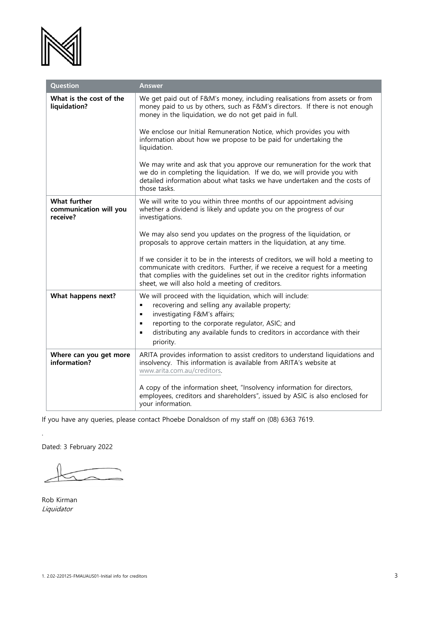

| Question                                                  | <b>Answer</b>                                                                                                                                                                                                                                                                                      |
|-----------------------------------------------------------|----------------------------------------------------------------------------------------------------------------------------------------------------------------------------------------------------------------------------------------------------------------------------------------------------|
| What is the cost of the<br>liquidation?                   | We get paid out of F&M's money, including realisations from assets or from<br>money paid to us by others, such as F&M's directors. If there is not enough<br>money in the liquidation, we do not get paid in full.                                                                                 |
|                                                           | We enclose our Initial Remuneration Notice, which provides you with<br>information about how we propose to be paid for undertaking the<br>liquidation.                                                                                                                                             |
|                                                           | We may write and ask that you approve our remuneration for the work that<br>we do in completing the liquidation. If we do, we will provide you with<br>detailed information about what tasks we have undertaken and the costs of<br>those tasks.                                                   |
| <b>What further</b><br>communication will you<br>receive? | We will write to you within three months of our appointment advising<br>whether a dividend is likely and update you on the progress of our<br>investigations.                                                                                                                                      |
|                                                           | We may also send you updates on the progress of the liquidation, or<br>proposals to approve certain matters in the liquidation, at any time.                                                                                                                                                       |
|                                                           | If we consider it to be in the interests of creditors, we will hold a meeting to<br>communicate with creditors. Further, if we receive a request for a meeting<br>that complies with the guidelines set out in the creditor rights information<br>sheet, we will also hold a meeting of creditors. |
| What happens next?                                        | We will proceed with the liquidation, which will include:<br>recovering and selling any available property;<br>٠<br>investigating F&M's affairs;<br>٠                                                                                                                                              |
|                                                           | reporting to the corporate regulator, ASIC; and<br>٠<br>distributing any available funds to creditors in accordance with their<br>٠<br>priority.                                                                                                                                                   |
| Where can you get more<br>information?                    | ARITA provides information to assist creditors to understand liquidations and<br>insolvency. This information is available from ARITA's website at<br>www.arita.com.au/creditors.                                                                                                                  |
|                                                           | A copy of the information sheet, "Insolvency information for directors,<br>employees, creditors and shareholders", issued by ASIC is also enclosed for<br>your information.                                                                                                                        |

If you have any queries, please contact Phoebe Donaldson of my staff on (08) 6363 7619.

Dated: 3 February 2022

Rob Kirman Liquidator

.